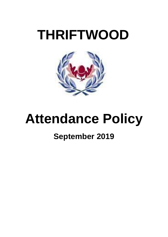# **THRIFTWOOD**



# **Attendance Policy**

# **September 2019**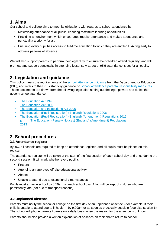# **1. Aims**

Our school and college aims to meet its obligations with regards to school attendance by:

- Maximising attendance of all pupils, ensuring maximum learning opportunities
- Providing an environment which encourages regular attendance and makes attendance and punctuality a priority for all.
- $\cdot$  Ensuring every pupil has access to full-time education to which they are entitled  $\Box$  Acting early to address patterns of absence

We will also support parents to perform their legal duty to ensure their children attend regularly, and will promote and support punctuality in attending lessons. A target of 95% attendance is set for all pupils.

# **2. Legislation and guidance**

This policy m[e](https://www.gov.uk/government/publications/school-attendance)ets the requirements of the [school attendance guidance](https://www.gov.uk/government/publications/school-attendance) from the Department for Education (DfE), and refers to the DfE's statutory guidance on [school attendance parental responsibility measures.](https://www.gov.uk/government/publications/parental-responsibility-measures-for-behaviour-and-attendance) These documents are drawn from the following legislation setting out the legal powers and duties that govern school attendance:

- [The Education Act 1996](https://www.legislation.gov.uk/ukpga/1996/56/part/VI/chapter/II)
- [The Education Act 2002](http://www.legislation.gov.uk/ukpga/2002/32/part/3/chapter/3)
- [The Education and Inspections Act 2006](http://www.legislation.gov.uk/ukpga/2006/40/part/7/chapter/2/crossheading/school-attendance)
- [The Education \(Pupil Registration\) \(England\) Regulations 2006](http://www.legislation.gov.uk/uksi/2006/1751/contents/made)
- [The Education \(Pupil Registration\) \(England\) \(Amendment\) Regulations 2016](http://legislation.data.gov.uk/uksi/2016/792/made/data.html) The Education [\(Penalty Notices\) \(England\) \(Amendment\) Regulations](http://www.legislation.gov.uk/uksi/2013/756/pdfs/uksiem_20130756_en.pdf)   $\Box$ [2013](http://www.legislation.gov.uk/uksi/2013/756/pdfs/uksiem_20130756_en.pdf)

# **3. School procedures**

#### **3.1 Attendance register**

By law, all schools are required to keep an attendance register, and all pupils must be placed on this register.

The attendance register will be taken at the start of the first session of each school day and once during the second session. It will mark whether every pupil is:

- Present
- Attending an approved off-site educational activity
- Absent
- Unable to attend due to exceptional circumstances

Pupils must arrive in school by 8.50am on each school day. A log will be kept of children who are persistently late (not due to transport reasons).

#### **3.2 Unplanned absence**

Parents must notify the school or college on the first day of an unplanned absence – for example, if their child is unable to attend due to ill health – by 9.00am or as soon as practically possible (see also section 6). The school will phone parents / carers on a daily basis when the reason for the absence is unknown.

Parents should also provide a written explanation of absence on their child's return to school.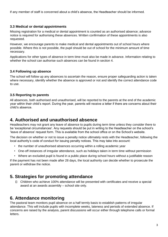If any member of staff is concerned about a child's absence, the Headteacher should be informed.

#### **3.3 Medical or dental appointments**

Missing registration for a medical or dental appointment is counted as an authorised absence; advance notice is required for authorising these absences. Written confirmation of these appointments is also requested.

However, we encourage parents to make medical and dental appointments out of school hours where possible. Where this is not possible, the pupil should be out of school for the minimum amount of time necessary.

Applications for other types of absence in term time must also be made in advance. Information relating to whether the school can authorise such absences can be found in section 4.

#### **3.4 Following up absence**

The school will follow up any absences to ascertain the reason, ensure proper safeguarding action is taken where necessary, identify whether the absence is approved or not and identify the correct attendance code to use.

#### **3.5 Reporting to parents**

All absences, both authorised and unauthorised, will be reported to the parents at the end of the academic year within their child's report. During the year, parents will receive a letter if there are concerns about their child's absence.

## **4. Authorised and unauthorised absence**

Headteachers may not grant any leave of absence to pupils during term time unless they consider there to be 'exceptional circumstances'. Any requests should be put in writing to the Headteacher on the school's 'leave of absence' request form. This is available from the school office or on the School's website.

The decision on whether or not to issue a penalty notice ultimately rests with the Headteacher, following the local authority's code of conduct for issuing penalty notices. This may take into account:

- the number of unauthorised absences occurring within a rolling academic year
- One-off instances of irregular attendance, such as holidays taken in term time without permission
- Where an excluded pupil is found in a public place during school hours without a justifiable reason

If the payment has not been made after 28 days, the local authority can decide whether to prosecute the parent or withdraw the notice.

### **5. Strategies for promoting attendance**

Children who achieve 100% attendance will be presented with certificates and receive a special award at an awards assembly – school site only.

### **6. Attendance monitoring**

The pastoral team monitors pupil absence on a half termly basis to establish patterns of irregular attendance. This will include pupils with incomplete weeks, lateness and periods of extended absence. If concerns are raised by the analysis, parent discussions will occur either through telephone calls or formal letters.